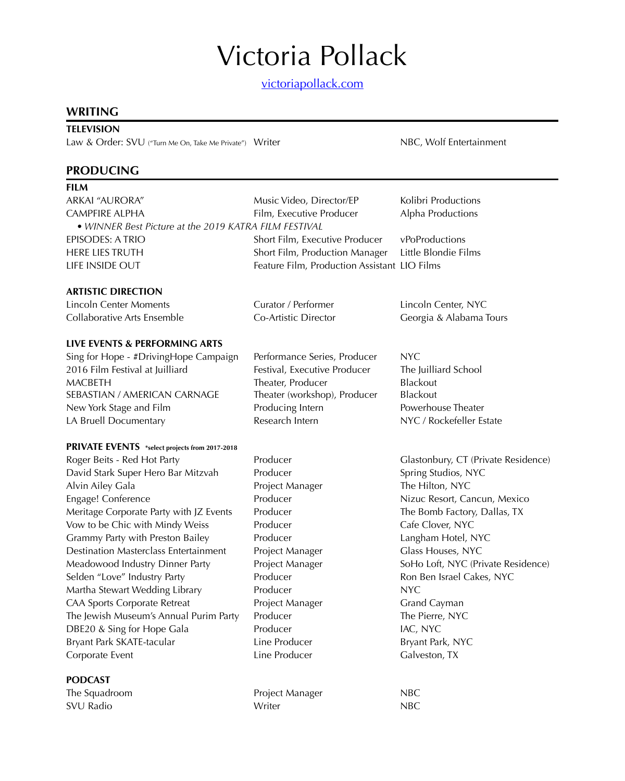[victoriapollack.com](https://victoriabpollack.wixsite.com/veep)

### **WRITING**

### **TELEVISION**

Law & Order: SVU ("Turn Me On, Take Me Private") Writer NBC, Wolf Entertainment

### **PRODUCING**

| - 9<br>- 9 |  |
|------------|--|
|            |  |

| ARKAI "AURORA"                                        | Music Video, Director/EP                     | Kolibri Productions     |
|-------------------------------------------------------|----------------------------------------------|-------------------------|
| CAMPFIRE ALPHA                                        | Film, Executive Producer                     | Alpha Productions       |
| • WINNER Best Picture at the 2019 KATRA FILM FESTIVAL |                                              |                         |
| EPISODES: A TRIO                                      | Short Film, Executive Producer               | vPoProductions          |
| HERE LIES TRUTH                                       | Short Film, Production Manager               | Little Blondie Films    |
| LIFE INSIDE OUT                                       | Feature Film, Production Assistant LIO Films |                         |
|                                                       |                                              |                         |
| <b>ARTISTIC DIRECTION</b>                             |                                              |                         |
| Lincoln Center Moments                                | Curator / Performer                          | Lincoln Center, NYC     |
| Collaborative Arts Ensemble                           | Co-Artistic Director                         | Georgia & Alabama Tours |

#### **LIVE EVENTS & PERFORMING ARTS**

Sing for Hope - #DrivingHope Campaign Performance Series, Producer NYC 2016 Film Festival at Juilliard **Festival, Executive Producer** The Juilliard School MACBETH Theater, Producer Blackout SEBASTIAN / AMERICAN CARNAGE Theater (workshop), Producer Blackout New York Stage and Film Producing Intern Powerhouse Theater LA Bruell Documentary **Research Intern NYC / Rockefeller Estate** 

#### **PRIVATE EVENTS \*select projects from 2017-2018**

Roger Beits - Red Hot Party Producer Glastonbury, CT (Private Residence) David Stark Super Hero Bar Mitzvah Producer Spring Studios, NYC Alvin Ailey Gala **Project Manager** The Hilton, NYC Engage! Conference The Producer Producer Nizuc Resort, Cancun, Mexico Meritage Corporate Party with JZ Events Producer The Bomb Factory, Dallas, TX Vow to be Chic with Mindy Weiss Producer Fronties Producer Cafe Clover, NYC Grammy Party with Preston Bailey **Producer** Producer **Langham Hotel, NYC** Destination Masterclass Entertainment Project Manager Glass Houses, NYC Meadowood Industry Dinner Party Project Manager SoHo Loft, NYC (Private Residence) Selden "Love" Industry Party **Producer** Producer **Routing Producer** Ron Ben Israel Cakes, NYC Martha Stewart Wedding Library **Producer** Producer CAA Sports Corporate Retreat Project Manager Grand Cayman The Jewish Museum's Annual Purim Party Producer The Pierre, NYC DBE20 & Sing for Hope Gala Producer Producer and MC, NYC Bryant Park SKATE-tacular **Line Producer** Bryant Park, NYC Corporate Event Line Producer Galveston, TX

#### **PODCAST**

The Squadroom **Project Manager** NBC SVU Radio **NBC** Notation NBC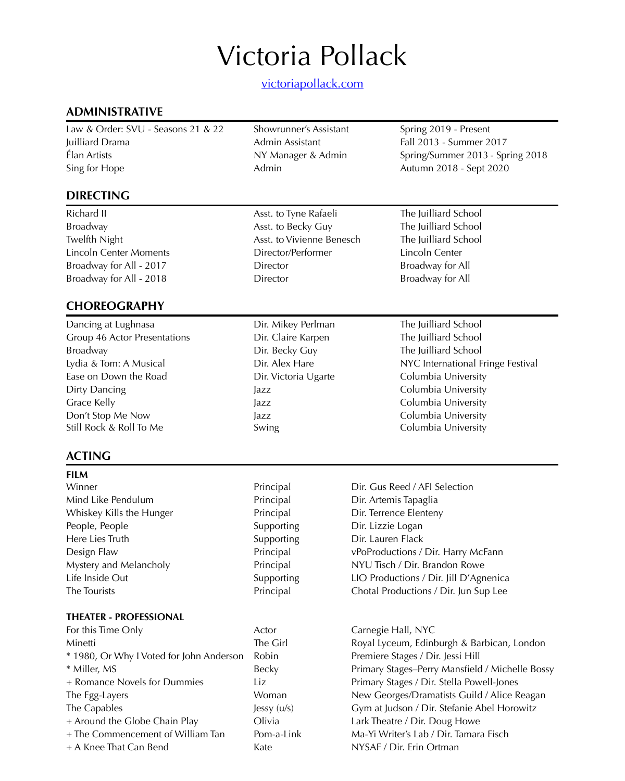[victoriapollack.com](https://victoriabpollack.wixsite.com/veep)

# **ADMINISTRATIVE**

Law & Order: SVU - Seasons 21 & 22 Showrunner's Assistant Spring 2019 - Present Juilliard Drama Admin Assistant Fall 2013 - Summer 2017 Élan Artists NY Manager & Admin Spring/Summer 2013 - Spring 2018 Sing for Hope **Admin** Admin Autumn 2018 - Sept 2020

# **DIRECTING**

Broadway **Asst. to Becky Guy** The Juilliard School **Broadway** Twelfth Night **Asst.** to Vivienne Benesch The Juilliard School Lincoln Center Moments Director/Performer Lincoln Center Broadway for All - 2017 **Director Director** Broadway for All Broadway for All - 2018 **Director Director** Broadway for All

# **CHOREOGRAPHY**

Dancing at Lughnasa Dir. Mikey Perlman The Juilliard School Group 46 Actor Presentations Dir. Claire Karpen The Juilliard School Broadway **Broadway Dir. Becky Guy The Juilliard School** Ease on Down the Road **Direct Columbia University** Dir. Victoria Ugarte Columbia University Dirty Dancing The Local Columbia University Dirty Dancing Jazz Columbia University Grace Kelly **Grace Kelly Jazz Columbia University** Don't Stop Me Now **Jazz** Jazz **Columbia University** Still Rock & Roll To Me Swing Swing Columbia University

# **ACTING**

**FILM** 

Winner **Principal** Principal **Principal** Dir. Gus Reed / AFI Selection Mind Like Pendulum Principal Dir. Artemis Tapaglia Whiskey Kills the Hunger **Principal** Principal Dir. Terrence Elenteny People, People **Supporting** Dir. Lizzie Logan Here Lies Truth Supporting Dir. Lauren Flack

#### **THEATER - PROFESSIONAL**

| For this Time Only                       | ACIO  |
|------------------------------------------|-------|
| Minetti                                  | The ( |
| * 1980, Or Why I Voted for John Anderson | Robi  |
| * Miller, MS                             | Beck  |
| + Romance Novels for Dummies             | Liz   |
| The Egg-Layers                           | Won   |
| The Capables                             | Jessy |
| + Around the Globe Chain Play            |       |
| + The Commencement of William Tan        | Pom   |
| + A Knee That Can Bend                   |       |
|                                          |       |

Richard II **Asst. to Tyne Rafaeli** The Juilliard School **Richard II** Asst. to Tyne Rafaeli

Lydia & Tom: A Musical **Dir.** Alex Hare NYC International Fringe Festival

Design Flaw Principal vPoProductions / Dir. Harry McFann Mystery and Melancholy Principal NYU Tisch / Dir. Brandon Rowe Life Inside Out Supporting LIO Productions / Dir. Jill D'Agnenica The Tourists Principal Chotal Productions / Dir. Jun Sup Lee

> For this Time Carnegie Hall, NYC Girl **East Royal Lyceum, Edinburgh & Barbican, London** in 1980, Premiere Stages / Dir. Jessi Hill y 1986 - Miller, Mansfield / Michelle Bossy Primary Stages / Dir. Stella Powell-Jones nan The Eleorges/Dramatists Guild / Alice Reagan (u/s) Gym at Judson / Dir. Stefanie Abel Horowitz a **Lark Theatre / Dir. Doug Howe** -a-Link Ma-Yi Writer's Lab / Dir. Tamara Fisch NYSAF / Dir. Erin Ortman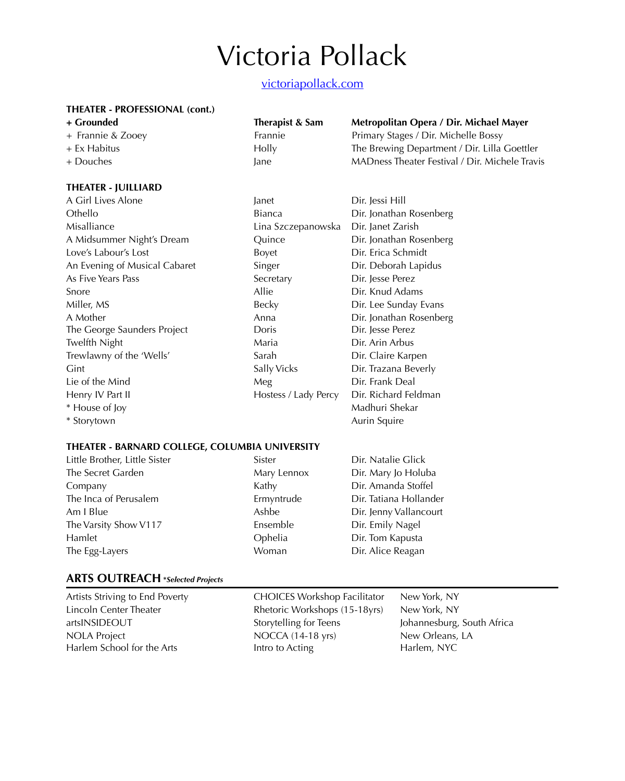# [victoriapollack.com](https://victoriabpollack.wixsite.com/veep)

#### **THEATER - PROFESSIONAL (cont.)**

- 
- 
- 

#### **THEATER - JUILLIARD**

| A Girl Lives Alone            |
|-------------------------------|
| Othello                       |
| Misalliance                   |
| A Midsummer Night's Dream     |
| Love's Labour's Lost          |
| An Evening of Musical Cabaret |
| As Five Years Pass            |
| Snore                         |
| Miller, MS                    |
| A Mother                      |
| The George Saunders Project   |
| Twelfth Night                 |
| Trewlawny of the 'Wells'      |
| Gint                          |
| Lie of the Mind               |
| Henry IV Part II              |
| * House of Joy                |
| * Storytown                   |

| Therapist & Sam |
|-----------------|
| Frannie         |
| Holly           |
| ane             |

# **+ Grounded Therapist & Sam Metropolitan Opera / Dir. Michael Mayer**

+ Frannie & Zooey Frannie Primary Stages / Dir. Michelle Bossy + Ex Habitus **Holly** Holly The Brewing Department / Dir. Lilla Goettler + Douches Jane MADness Theater Festival / Dir. Michele Travis

| A Girl Lives Alone            | Janet                | Dir. Jessi Hill         |
|-------------------------------|----------------------|-------------------------|
| Othello                       | <b>Bianca</b>        | Dir. Jonathan Rosenberg |
| Misalliance                   | Lina Szczepanowska   | Dir. Janet Zarish       |
| A Midsummer Night's Dream     | Ouince               | Dir. Jonathan Rosenberg |
| Love's Labour's Lost          | Boyet                | Dir. Erica Schmidt      |
| An Evening of Musical Cabaret | Singer               | Dir. Deborah Lapidus    |
| As Five Years Pass            | Secretary            | Dir. Jesse Perez        |
| Snore                         | Allie                | Dir. Knud Adams         |
| Miller, MS                    | Becky                | Dir. Lee Sunday Evans   |
| A Mother                      | Anna                 | Dir. Jonathan Rosenberg |
| The George Saunders Project   | Doris                | Dir. Jesse Perez        |
| Twelfth Night                 | Maria                | Dir. Arin Arbus         |
| Trewlawny of the 'Wells'      | Sarah                | Dir. Claire Karpen      |
| Gint                          | Sally Vicks          | Dir. Trazana Beverly    |
| Lie of the Mind               | Meg                  | Dir. Frank Deal         |
| Henry IV Part II              | Hostess / Lady Percy | Dir. Richard Feldman    |
| * House of Joy                |                      | Madhuri Shekar          |
|                               |                      |                         |

#### **THEATER - BARNARD COLLEGE, COLUMBIA UNIVERSITY**

Little Brother, Little Sister Sister Dir. Natalie Glick The Secret Garden Mary Lennox Dir. Mary Jo Holuba Company Kathy Dir. Amanda Stoffel The Inca of Perusalem **Ermyntrude** Dir. Tatiana Hollander Am I Blue **Ashbe** Ashbe **Dir.** Jenny Vallancourt The Varsity Show V117 **Ensemble** Dir. Emily Nagel Hamlet Ophelia Dir. Tom Kapusta The Egg-Layers **The Egg-Layers** Communism Woman Dir. Alice Reagan

Aurin Squire

### **ARTS OUTREACH \****Selected Projects*

Artists Striving to End Poverty CHOICES Workshop Facilitator New York, NY Lincoln Center Theater Rhetoric Workshops (15-18yrs) New York, NY artsINSIDEOUT Storytelling for Teens Johannesburg, South Africa NOLA Project NOCCA (14-18 yrs) New Orleans, LA Harlem School for the Arts **Intro to Acting Harlem, NYC**